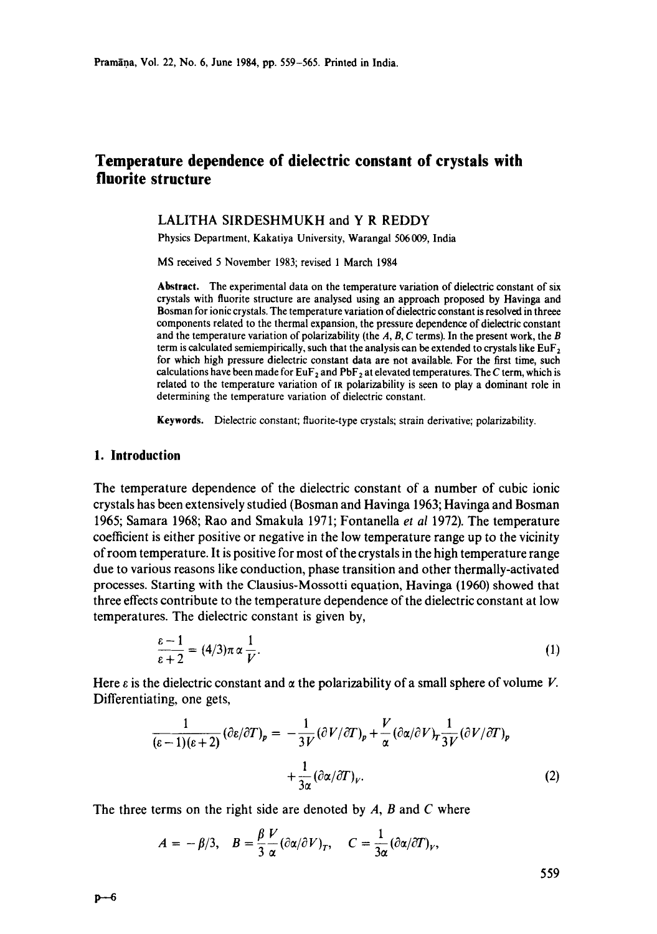# **Temperature dependence of dielectric constant of crystals with fluorite structure**

## LALITHA SIRDESHMUKH and Y R REDDY

Physics Department, Kakatiya University, Warangal 506 009, India

MS received 5 November 1983; revised 1 March 1984

**Abstract.** The experimental data on the temperature variation of dielectric constant of six crystals with fluorite structure are analysed using an approach proposed by Havinga and Bosman for ionic crystals. The temperature variation of dielectric constant is resolved in threee components related to the thermal expansion, the pressure dependence of dielectric constant and the temperature variation of polarizability (the  $A$ ,  $B$ ,  $C$  terms). In the present work, the  $B$ term is calculated semiempirically, such that the analysis can be extended to crystals like EuF<sub>2</sub> for which high pressure dielectric constant data are not available. For the first time, such calculations have been made for  $EuF_2$  and  $PbF_2$  at elevated temperatures. The C term, which is related to the temperature variation of nt polarizability is seen to play a dominant role **in**  determining the temperature variation of dielectric constant.

**Keywords.** Dielectric constant; fluorite-type crystals; strain derivative; polarizability.

## **1. Introduction**

The temperature dependence of the dielectric constant of a number of cubic ionic crystals has been extensively studied (Bosman and Havinga 1963; Havinga and Bosman 1965; Samara 1968; Rao and Smakula 1971; Fontanella *et al* 1972). The temperature coefficient is either positive or negative in the low temperature range up to the vicinity of room temperature. It is positive for most of the crystals in the high temperature range due to various reasons like conduction, phase transition and other thermally-activated processes. Starting with the Clausius-Mossotti equation, Havinga (1960) showed that three effects contribute to the temperature dependence of the dielectric constant at low temperatures. The dielectric constant is given by,

$$
\frac{\varepsilon - 1}{\varepsilon + 2} = (4/3)\pi \alpha \frac{1}{V}.
$$
 (1)

Here  $\varepsilon$  is the dielectric constant and  $\alpha$  the polarizability of a small sphere of volume V. Differentiating, one gets,

$$
\frac{1}{(\varepsilon - 1)(\varepsilon + 2)} (\partial \varepsilon / \partial T)_p = -\frac{1}{3V} (\partial V / \partial T)_p + \frac{V}{\alpha} (\partial \alpha / \partial V)_T \frac{1}{3V} (\partial V / \partial T)_p
$$

$$
+ \frac{1}{3\alpha} (\partial \alpha / \partial T)_V.
$$
(2)

The three terms on the right side are denoted by **A, B and C** where

$$
A = -\beta/3, \quad B = \frac{\beta V}{3 \alpha} (\partial \alpha/\partial V)_T, \quad C = \frac{1}{3\alpha} (\partial \alpha/\partial T)_V,
$$

559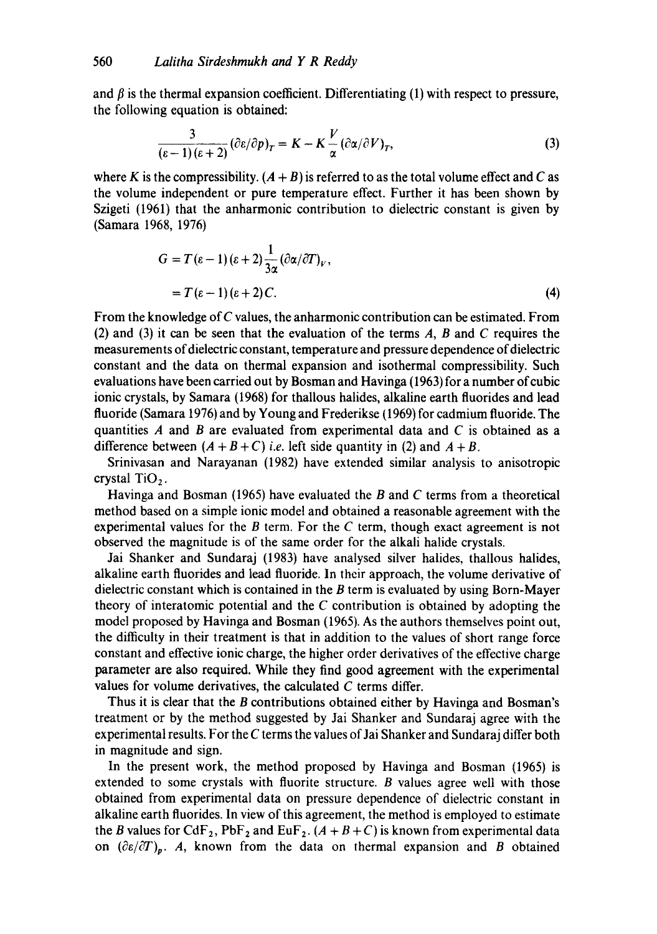and  $\beta$  is the thermal expansion coefficient. Differentiating (1) with respect to pressure, the following equation is obtained:

$$
\frac{3}{(\varepsilon - 1)(\varepsilon + 2)} (\partial \varepsilon / \partial p)_T = K - K \frac{V}{\alpha} (\partial \alpha / \partial V)_T,
$$
 (3)

where K is the compressibility.  $(A + B)$  is referred to as the total volume effect and C as the volume independent or pure temperature effect. Further it has been shown by Szigeti (1961) that the anharmonic contribution to dielectric constant is given by (Samara 1968, 1976)

$$
G = T(\varepsilon - 1)(\varepsilon + 2) \frac{1}{3\alpha} (\partial \alpha / \partial T)_V,
$$
  
=  $T(\varepsilon - 1)(\varepsilon + 2)C.$  (4)

From the knowledge of C values, the anharmonic contribution can be estimated. From (2) and (3) it can be seen that the evaluation of the terms  $A$ ,  $B$  and  $C$  requires the measurements of dielectric constant, temperature and pressure dependence of dielectric constant and the data on thermal expansion and isothermal compressibility. Such evaluations have been carried out by Bosman and Havinga (1963) for a number of cubic ionic crystals, by Samara (1968) for thallous halides, alkaline earth fluorides and lead fluoride (Samara 1976) and by Young and Frederikse (1969) for cadmium fluoride. The quantities  $A$  and  $B$  are evaluated from experimental data and  $C$  is obtained as a difference between  $(A + B + C)$  *i.e.* left side quantity in (2) and  $A + B$ .

Srinivasan and Narayanan (1982) have extended similar analysis to anisotropic crystal TiO<sub>2</sub>.

Havinga and Bosman (1965) have evaluated the  $B$  and  $C$  terms from a theoretical method based on a simple ionic model and obtained a reasonable agreement with the experimental values for the B term. For the C term, though exact agreement is not observed the magnitude is of the same order for the alkali halide crystals.

Jai Shanker and Sundaraj (1983) have analysed silver halides, thallous halides, alkaline earth fluorides and lead fluoride. In their approach, the volume derivative of dielectric constant which is contained in the B term is evaluated by using Born-Mayer theory of interatomic potential and the  $C$  contribution is obtained by adopting the model proposed by Havinga and Bosman (1965). As the authors themselves point out, the difficulty in their treatment is that in addition to the values of short range force constant and effective ionic charge, the higher order derivatives of the effective charge parameter are also required. While they find good agreement with the experimental values for volume derivatives, the calculated C terms differ.

Thus it is clear that the B contributions obtained either by Havinga and Bosman's treatment or by the method suggested by Jai Shanker and Sundaraj agree with the experimental results. For the  $C$  terms the values of Jai Shanker and Sundaraj differ both in magnitude and sign.

In the present work, the method proposed by Havinga and Bosman (1965) is extended to some crystals with fluorite structure. B values agree well with those obtained from experimental data on pressure dependence of dielectric constant in alkaline earth fluorides. In view of this agreement, the method is employed to estimate the B values for CdF<sub>2</sub>, PbF<sub>2</sub> and EuF<sub>2</sub>.  $(A + B + C)$  is known from experimental data on  $(\partial \varepsilon/\partial T)_p$ . A, known from the data on thermal expansion and B obtained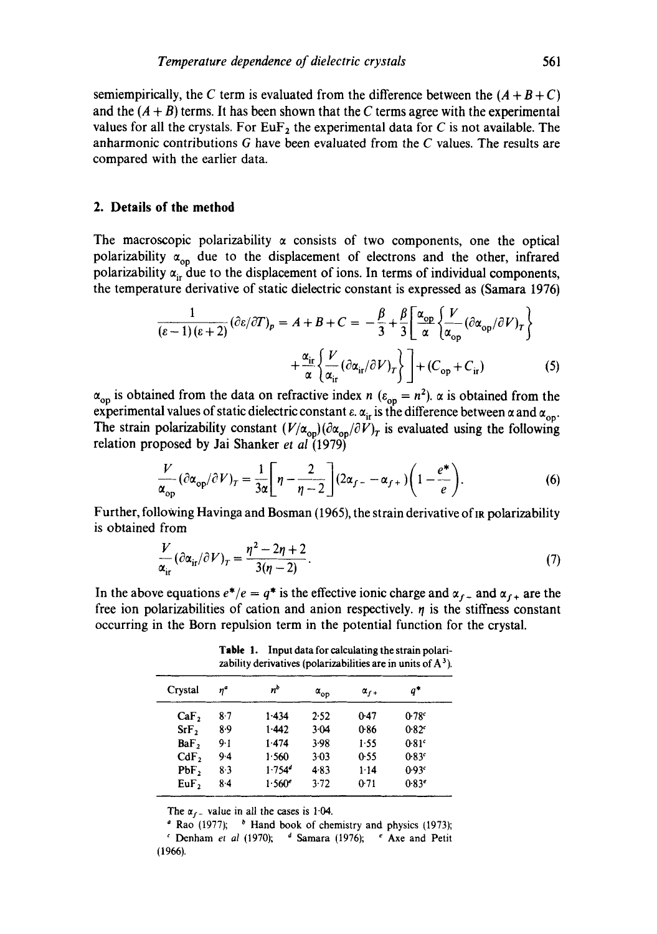semiempirically, the C term is evaluated from the difference between the  $(A + B + C)$ and the  $(A + B)$  terms. It has been shown that the C terms agree with the experimental values for all the crystals. For  $EuF_2$  the experimental data for C is not available. The anharmonic contributions G have been evaluated from the C values. The results are compared with the earlier data.

### **2. Details of the method**

The macroscopic polarizability  $\alpha$  consists of two components, one the optical polarizability  $\alpha_{op}$  due to the displacement of electrons and the other, infrared polarizability  $\alpha_{ir}$  due to the displacement of ions. In terms of individual components, the temperature derivative of static dielectric constant is expressed as (Samara 1976)

$$
\frac{1}{(\varepsilon - 1)(\varepsilon + 2)} (\partial \varepsilon / \partial T)_p = A + B + C = -\frac{\beta}{3} + \frac{\beta}{3} \left[ \frac{\alpha_{op}}{\alpha} \left\{ \frac{V}{\alpha_{op}} (\partial \alpha_{op}/ \partial V)_T \right\} + \frac{\alpha_{ir}}{\alpha} \left\{ \frac{V}{\alpha_{ir}} (\partial \alpha_{ir}/ \partial V)_T \right\} \right] + (C_{op} + C_{ir})
$$
(5)

 $\alpha_{\rm op}$  is obtained from the data on refractive index n ( $\varepsilon_{\rm op} = n^2$ ).  $\alpha$  is obtained from the experimental values of static dielectric constant  $\varepsilon$ .  $\alpha_{ir}$  is the difference between  $\alpha$  and  $\alpha_{\rm op}$ . The strain polarizability constant  $(V/\alpha_{op})(\partial \alpha_{op}/\partial V)_T$  is evaluated using the following relation proposed by Jai Shanker *et al* (1979)

$$
\frac{V}{\alpha_{\rm op}} (\partial \alpha_{\rm op} / \partial V)_T = \frac{1}{3\alpha} \bigg[ \eta - \frac{2}{\eta - 2} \bigg] (2\alpha_{f-} - \alpha_{f+}) \bigg( 1 - \frac{e^*}{e} \bigg). \tag{6}
$$

Further, following Havinga and Bosman (1965), the strain derivative of IR polarizability is obtained from

$$
\frac{V}{\alpha_{ir}}(\partial \alpha_{ir}/\partial V)_T = \frac{\eta^2 - 2\eta + 2}{3(\eta - 2)}.
$$
\n(7)

In the above equations  $e^*/e = q^*$  is the effective ionic charge and  $\alpha_{f-}$  and  $\alpha_{f+}$  are the free ion polarizabilities of cation and anion respectively.  $\eta$  is the stiffness constant occurring in the Born repulsion term in the potential function for the crystal.

|                  | zability derivatives (polarizabilities are in units of A L. |                      |                      |               |                   |  |  |
|------------------|-------------------------------------------------------------|----------------------|----------------------|---------------|-------------------|--|--|
| Crystal          | ŋª                                                          | п <sup>b</sup>       | $\alpha_{_{\rm OD}}$ | $\alpha_{f+}$ | q*                |  |  |
| CaF <sub>2</sub> | 87                                                          | 1.434                | 2.52                 | 0.47          | 0.78 <sup>c</sup> |  |  |
| SrF <sub>2</sub> | 89                                                          | 1.442                | 3.04                 | 0.86          | 0.82c             |  |  |
| BaF <sub>2</sub> | $9 - 1$                                                     | 1.474                | 3.98                 | 1.55          | 0.81 <sup>c</sup> |  |  |
| $CdF$ ,          | 94                                                          | 1.560                | 3.03                 | 0.55          | 0.83c             |  |  |
| PbF,             | 8.3                                                         | $1.754$ <sup>d</sup> | 4.83                 | $1-14$        | 0.93c             |  |  |
| $EuF$ ,          | 84                                                          | 1.560e               | 3.72                 | 0.71          | $0.83^{e}$        |  |  |

**Table** 1. Input data for calculating the strain polarizability derivatives (polarizabilities are in units of  $A^3$ ).

The  $\alpha_{\text{f}}$  value in all the cases is 1.04.

 $\alpha$  Rao (1977);  $\beta$  Hand book of chemistry and physics (1973); <sup>c</sup> Denham *et al* (1970);  $\delta$  Samara (1976);  $\epsilon$  Axe and Petit (1966).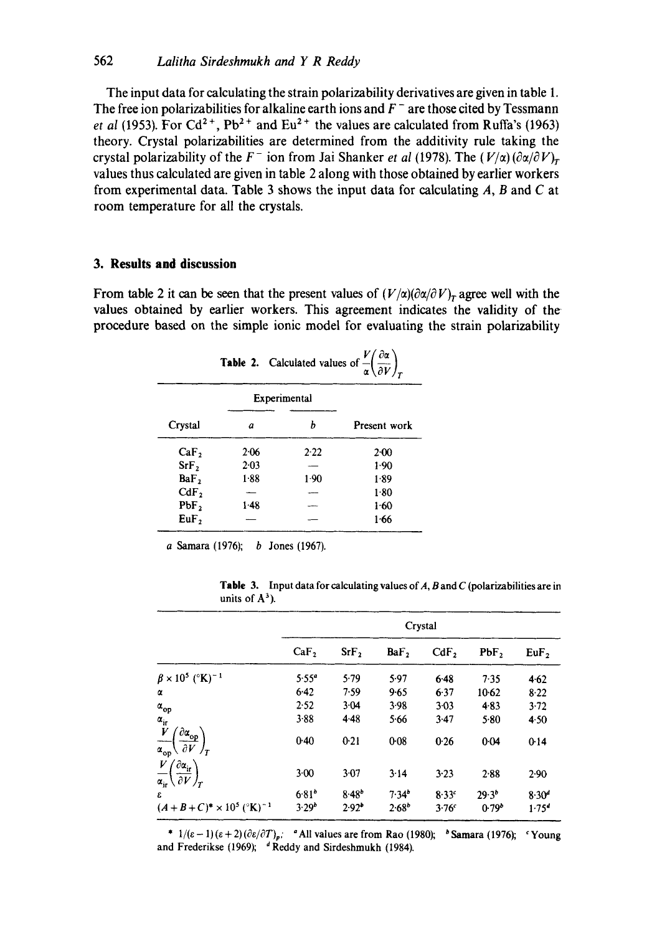The input data for calculating the strain polarizability derivatives are given in table 1. The free ion polarizabilities for alkaline earth ions and  $F^-$  are those cited by Tessmann *et al (1953).* For Cd<sup>2+</sup>, Pb<sup>2+</sup> and Eu<sup>2+</sup> the values are calculated from Ruffa's (1963) theory. Crystal polarizabilities are determined from the additivity rule taking the crystal polarizability of the  $F^-$  ion from Jai Shanker *et al* (1978). The  $(V/\alpha)(\partial \alpha/\partial V)_r$ values thus calculated are given in table 2 along with those obtained by earlier workers from experimental data. Table 3 shows the input data for calculating  $A$ ,  $B$  and  $C$  at room temperature for all the crystals.

# **3. Results and discussion**

From table 2 it can be seen that the present values of  $(V/\alpha)(\partial \alpha/\partial V)_r$  agree well with the **values obtained by earlier workers. This agreement indicates the validity of the procedure based on the simple ionic model for evaluating the strain polarizability** 

|                  | <b>Table 2.</b> Calculated values of $\frac{V}{\alpha} \left( \frac{\partial \alpha}{\partial V} \right)$ . |        |              |  |  |  |
|------------------|-------------------------------------------------------------------------------------------------------------|--------|--------------|--|--|--|
| Experimental     |                                                                                                             |        |              |  |  |  |
| Crystal          | a                                                                                                           | h      | Present work |  |  |  |
| CaF <sub>2</sub> | $2-06$                                                                                                      | 2.22   | 2.00         |  |  |  |
| SrF <sub>2</sub> | 2.03                                                                                                        |        | 1.90         |  |  |  |
| BaF <sub>2</sub> | 1.88                                                                                                        | $1-90$ | 1.89         |  |  |  |
| CdF <sub>2</sub> |                                                                                                             |        | 1.80         |  |  |  |
| PbF <sub>2</sub> | 1.48                                                                                                        |        | 1.60         |  |  |  |
| EuF,             |                                                                                                             |        | 1.66         |  |  |  |

a Samara (1976); b Jones (1967).

|                   | <b>Table 3.</b> Input data for calculating values of A, B and C (polarizabilities are in |
|-------------------|------------------------------------------------------------------------------------------|
| units of $A^3$ ). |                                                                                          |

|                                                                                                                                   | Crystal          |                  |                  |                  |                   |                   |
|-----------------------------------------------------------------------------------------------------------------------------------|------------------|------------------|------------------|------------------|-------------------|-------------------|
|                                                                                                                                   | CaF <sub>2</sub> | SrF <sub>2</sub> | BaF <sub>2</sub> | CdF <sub>2</sub> | PbF,              | $EuF$ ,           |
| $\beta \times 10^5$ (°K) <sup>-1</sup>                                                                                            | $5.55^{\circ}$   | 5.79             | 5.97             | 6.48             | 7.35              | 4.62              |
| α                                                                                                                                 | 6.42             | 7.59             | 9.65             | 6.37             | $10-62$           | 8.22              |
| $\alpha_{\rm op}$                                                                                                                 | 2.52             | $3 - 04$         | 3.98             | $3 - 03$         | 4.83              | 3.72              |
|                                                                                                                                   | 3.88             | 4.48             | 5.66             | 3.47             | 5.80              | 4.50              |
| $\frac{\alpha_{ir}}{V}$<br>$\int \partial \alpha_{\underline{\mathrm{op}}} \rangle$<br>$\partial V /_{\tau}$<br>$\alpha_{\rm op}$ | 0.40             | 0.21             | 0.08             | 0.26             | 0.04              | 0.14              |
| $\frac{V}{\alpha_{\rm ir}}\! \left(\frac{\partial \alpha_{\rm ir}}{\partial V}\right)_T$                                          | $3 - 00$         | 3.07             | 3.14             | 3.23             | 2.88              | $2-90$            |
| £                                                                                                                                 | $6.81^{b}$       | $8.48^{b}$       | 7.34''           | 8.33c            | $29.3^{b}$        | $8.30^{d}$        |
| $(A+B+C)^* \times 10^5$ ( $^{\circ}$ K) <sup>-1</sup>                                                                             | $3.29^{b}$       | $2.92^{\circ}$   | $2.68^{\circ}$   | 3.76c            | 0.79 <sup>b</sup> | 1.75 <sup>4</sup> |

\*  $1/(\varepsilon - 1)(\varepsilon + 2)(\partial \varepsilon/\partial T)_p$ ; <sup>a</sup> All values are from Rao (1980); <sup>b</sup> Samara (1976); <sup>c</sup> Young and Frederikse (1969);  $d$  Reddy and Sirdeshmukh (1984).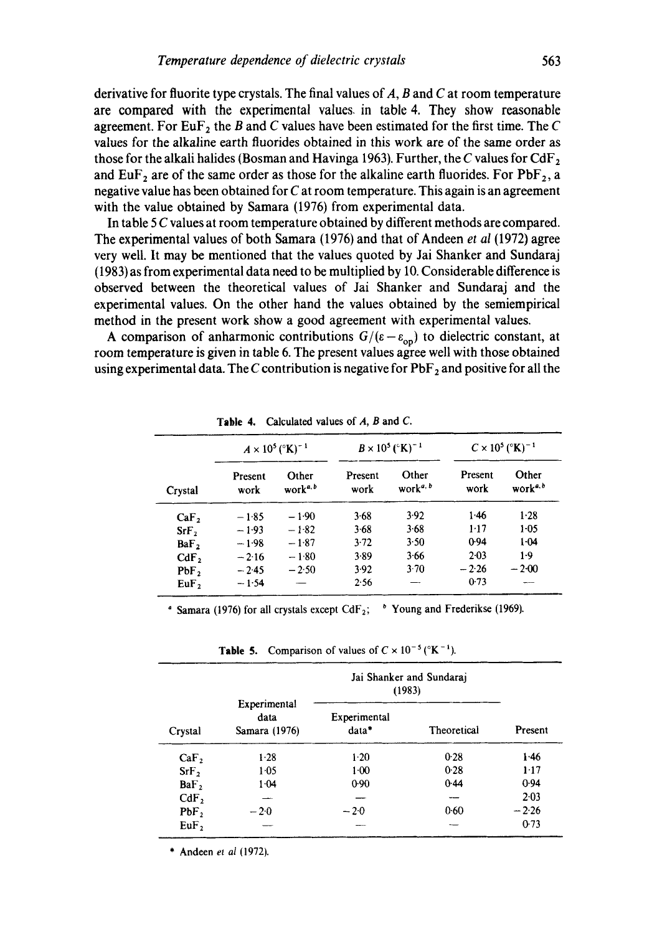**derivative for fluorite type crystals. The final values of A, B and C at room temperature are compared with the experimental values, in table 4. They show reasonable agreement.** For EuF<sub>2</sub> the B and C values have been estimated for the first time. The C **values for the alkaline earth fluorides obtained in this work are of the same order as those for the alkali halides (Bosman and Havinga 1963). Further, the C values for CdF2**  and  $EuF_2$  are of the same order as those for the alkaline earth fluorides. For  $PbF_2$ , a **negative value has been obtained for C at room temperature. This again is an agreement with the value obtained by Samara (1976) from experimental data.** 

**In table 5 C values at room temperature obtained by different methods are compared. The experimental values of both Samara (1976) and that of Andeen** *et al* **(1972) agree very well. It may be mentioned that the values quoted by Jai Shanker and Sundaraj (1983) as from experimental data need to be multiplied by 10. Considerable difference is observed between the theoretical values of Jai Shanker and Sundaraj and the experimental values. On the other hand the values obtained by the semiempirical method in the present work show a good agreement with experimental values.** 

**A** comparison of anharmonic contributions  $G/(\varepsilon-\varepsilon_{\text{on}})$  to dielectric constant, at **room temperature is given in table 6. The present values agree well with those obtained**  using experimental data. The C contribution is negative for PbF<sub>2</sub> and positive for all the

|                  | $A \times 10^5$ ( $\rm{K}$ ) <sup>-1</sup> |                               | $B \times 10^5$ (°K) <sup>-1</sup> |                                            | $C \times 10^5$ (°K) <sup>-1</sup> |                              |
|------------------|--------------------------------------------|-------------------------------|------------------------------------|--------------------------------------------|------------------------------------|------------------------------|
| Crystal          | Present<br>work                            | Other<br>work <sup>a, b</sup> | Present<br>work                    | Other<br>work <sup><math>a, b</math></sup> | Present<br>work                    | Other<br>work <sup>a,b</sup> |
| CaF <sub>2</sub> | $-1.85$                                    | $-1.90$                       | 3.68                               | 3.92                                       | 1.46                               | 1.28                         |
| SrF <sub>2</sub> | $-1.93$                                    | $-1.82$                       | 3.68                               | $3-68$                                     | 1.17                               | $1 - 0.5$                    |
| BaF <sub>2</sub> | $-1.98$                                    | $-1.87$                       | 3.72                               | 3.50                                       | 0.94                               | $1 - 04$                     |
| CdF <sub>2</sub> | $-2.16$                                    | $-1.80$                       | 3.89                               | 3.66                                       | 2.03                               | $1-9$                        |
| PbF <sub>2</sub> | $-2.45$                                    | $-2.50$                       | 3.92                               | 3.70                                       | $-2.26$                            | $-2.00$                      |
| EuF <sub>2</sub> | $-1.54$                                    |                               | 2.56                               |                                            | 0.73                               |                              |

**Table 4. Calculated values of** A, B and C.

<sup>a</sup> Samara (1976) for all crystals except CdF<sub>2</sub>; <sup>b</sup> Young and Frederikse (1969).

**Jai Shanker and Sundaraj**  (1983) **Experimental data Experimental Crystal Samara (1976) data\* Theoretical Present**   $CaF<sub>2</sub>$  1.28 1.20 0.28 1.46  $\text{SrF}_2$  1.05 1.00 0.28 1.17  $BaF_2$  1'04 0'90 0'44 0'94  $Cdr_2$  -- - - - - - 2.03  $PbF_2$  - 2.0 - 2.0 0.60 - 2.26 EuF 2 -- -- -- 0"73

**Table 5.** Comparison of values of  $C \times 10^{-5}$  ( $K^{-1}$ ).

\* Andeen et *al* (1972).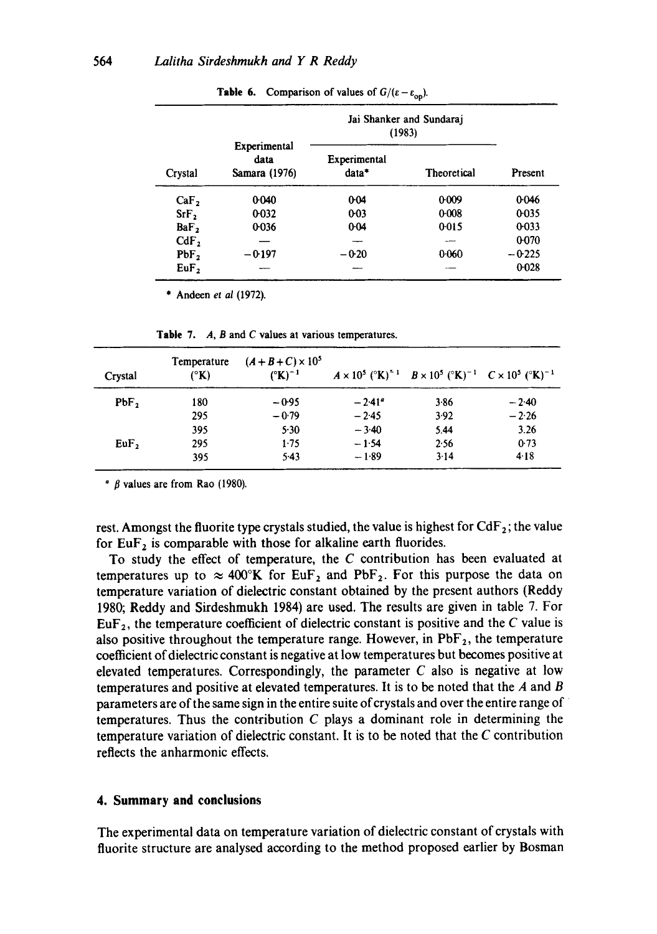| Crystal          |                                       | Jai Shanker and Sundaraj<br>(1983) |             |          |
|------------------|---------------------------------------|------------------------------------|-------------|----------|
|                  | Experimental<br>data<br>Samara (1976) | Experimental<br>data*              | Theoretical | Present  |
| CaF <sub>2</sub> | 0.040                                 | 0.04                               | 0.009       | 0.046    |
| SrF <sub>2</sub> | 0.032                                 | $0 - 03$                           | 0.008       | 0.035    |
| BaF <sub>2</sub> | 0.036                                 | $0-04$                             | 0.015       | 0.033    |
| CdF <sub>2</sub> |                                       |                                    |             | 0.070    |
| PbF <sub>2</sub> | $-0.197$                              | $-0.20$                            | 0.060       | $-0.225$ |
| EuF <sub>2</sub> |                                       |                                    |             | 0.028    |

**Table 6.** Comparison of values of  $G/(\varepsilon - \varepsilon_{op})$ .

\* Andeen *et al* (1972).

| Crystal          | Temperature<br>$({}^{\circ}{\bf K})$ | $(A + B + C) \times 10^5$<br>$({}^{\circ}{\bf K})^{-1}$ |           | $A \times 10^5$ (°K) <sup><math>-1</math></sup> $B \times 10^5$ (°K) <sup><math>-1</math></sup> $C \times 10^5$ (°K) <sup><math>-1</math></sup> |         |
|------------------|--------------------------------------|---------------------------------------------------------|-----------|-------------------------------------------------------------------------------------------------------------------------------------------------|---------|
| PbF <sub>2</sub> | 180                                  | $-0.95$                                                 | $-2.41^a$ | 3.86                                                                                                                                            | $-2.40$ |
|                  | 295                                  | $-0.79$                                                 | $-2.45$   | 3.92                                                                                                                                            | $-2.26$ |
|                  | 395                                  | 5.30                                                    | $-3.40$   | 5.44                                                                                                                                            | 3.26    |
| $EuF$ ,          | 295                                  | 1.75                                                    | $-1.54$   | 2.56                                                                                                                                            | 0.73    |
|                  | 395                                  | 5.43                                                    | $-1.89$   | 3.14                                                                                                                                            | 4.18    |

**Table** 7. A, B and C values at various temperatures.

 $\degree$   $\beta$  values are from Rao (1980).

rest. Amongst the fluorite type crystals studied, the value is highest for  $CdF_2$ ; the value for  $EuF_2$  is comparable with those for alkaline earth fluorides.

To study the effect of temperature, the  $C$  contribution has been evaluated at temperatures up to  $\approx 400^{\circ}$ K for EuF<sub>2</sub> and PbF<sub>2</sub>. For this purpose the data on temperature variation of dielectric constant obtained by the present authors (Reddy 1980; Reddy and Sirdeshmukh 1984) are used. The results are given in table 7. For  $EuF_2$ , the temperature coefficient of dielectric constant is positive and the C value is also positive throughout the temperature range. However, in  $PbF_2$ , the temperature coefficient of dielectric constant is negative at low temperatures but becomes positive at elevated temperatures. Correspondingly, the parameter  $C$  also is negative at low temperatures and positive at elevated temperatures. It is to be noted that the  $A$  and  $B$ parameters are of the same sign in the entire suite of crystals and over the entire range of temperatures. Thus the contribution  $C$  plays a dominant role in determining the temperature variation of dielectric constant. It is to be noted that the C contribution reflects the anharmonic effects.

#### **4. Summary and conclusions**

The experimental data on temperature variation of dielectric constant of crystals with fluorite structure are analysed according to the method proposed earlier by Bosman